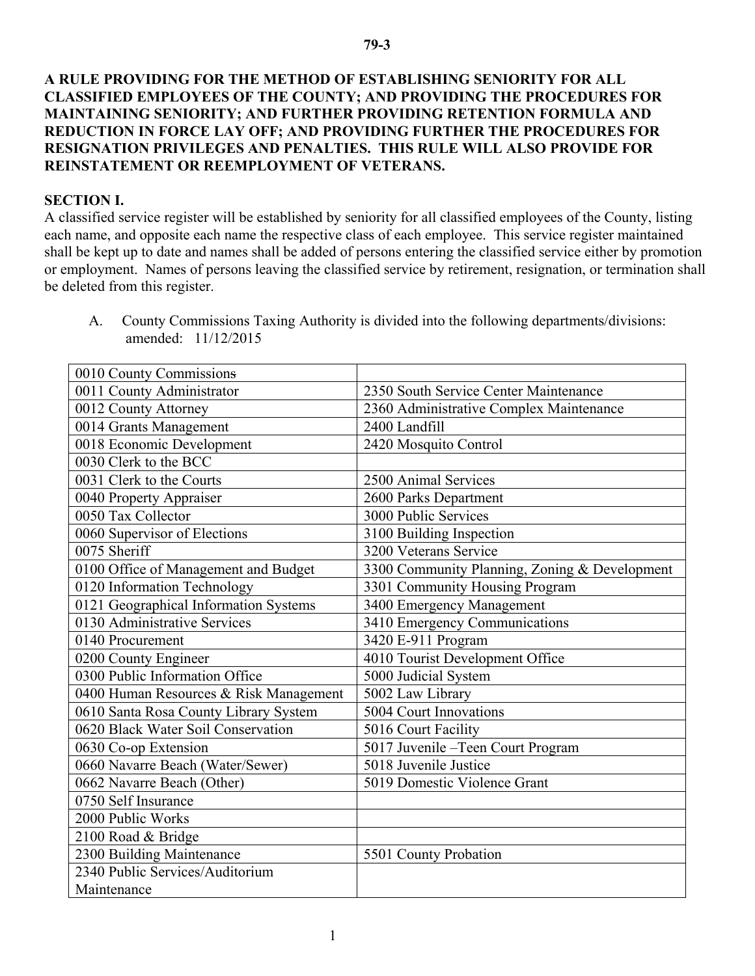## **A RULE PROVIDING FOR THE METHOD OF ESTABLISHING SENIORITY FOR ALL CLASSIFIED EMPLOYEES OF THE COUNTY; AND PROVIDING THE PROCEDURES FOR MAINTAINING SENIORITY; AND FURTHER PROVIDING RETENTION FORMULA AND REDUCTION IN FORCE LAY OFF; AND PROVIDING FURTHER THE PROCEDURES FOR RESIGNATION PRIVILEGES AND PENALTIES. THIS RULE WILL ALSO PROVIDE FOR REINSTATEMENT OR REEMPLOYMENT OF VETERANS.**

## **SECTION I.**

A classified service register will be established by seniority for all classified employees of the County, listing each name, and opposite each name the respective class of each employee. This service register maintained shall be kept up to date and names shall be added of persons entering the classified service either by promotion or employment. Names of persons leaving the classified service by retirement, resignation, or termination shall be deleted from this register.

A. County Commissions Taxing Authority is divided into the following departments/divisions: amended: 11/12/2015

| 0010 County Commissions                |                                               |
|----------------------------------------|-----------------------------------------------|
| 0011 County Administrator              | 2350 South Service Center Maintenance         |
| 0012 County Attorney                   | 2360 Administrative Complex Maintenance       |
| 0014 Grants Management                 | 2400 Landfill                                 |
| 0018 Economic Development              | 2420 Mosquito Control                         |
| 0030 Clerk to the BCC                  |                                               |
| 0031 Clerk to the Courts               | 2500 Animal Services                          |
| 0040 Property Appraiser                | 2600 Parks Department                         |
| 0050 Tax Collector                     | 3000 Public Services                          |
| 0060 Supervisor of Elections           | 3100 Building Inspection                      |
| 0075 Sheriff                           | 3200 Veterans Service                         |
| 0100 Office of Management and Budget   | 3300 Community Planning, Zoning & Development |
| 0120 Information Technology            | 3301 Community Housing Program                |
| 0121 Geographical Information Systems  | 3400 Emergency Management                     |
| 0130 Administrative Services           | 3410 Emergency Communications                 |
| 0140 Procurement                       | 3420 E-911 Program                            |
| 0200 County Engineer                   | 4010 Tourist Development Office               |
| 0300 Public Information Office         | 5000 Judicial System                          |
| 0400 Human Resources & Risk Management | 5002 Law Library                              |
| 0610 Santa Rosa County Library System  | 5004 Court Innovations                        |
| 0620 Black Water Soil Conservation     | 5016 Court Facility                           |
| 0630 Co-op Extension                   | 5017 Juvenile - Teen Court Program            |
| 0660 Navarre Beach (Water/Sewer)       | 5018 Juvenile Justice                         |
| 0662 Navarre Beach (Other)             | 5019 Domestic Violence Grant                  |
| 0750 Self Insurance                    |                                               |
| 2000 Public Works                      |                                               |
| 2100 Road & Bridge                     |                                               |
| 2300 Building Maintenance              | 5501 County Probation                         |
| 2340 Public Services/Auditorium        |                                               |
| Maintenance                            |                                               |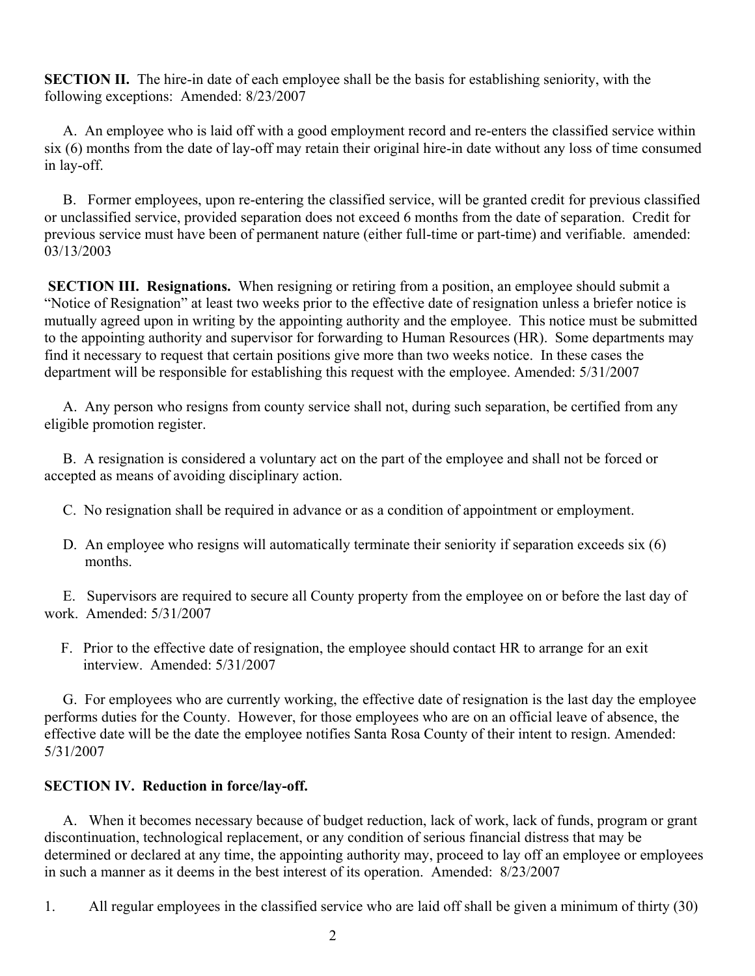**SECTION II.** The hire-in date of each employee shall be the basis for establishing seniority, with the following exceptions: Amended: 8/23/2007

A. An employee who is laid off with a good employment record and re-enters the classified service within six (6) months from the date of lay-off may retain their original hire-in date without any loss of time consumed in lay-off.

B. Former employees, upon re-entering the classified service, will be granted credit for previous classified or unclassified service, provided separation does not exceed 6 months from the date of separation. Credit for previous service must have been of permanent nature (either full-time or part-time) and verifiable. amended: 03/13/2003

**SECTION III. Resignations.** When resigning or retiring from a position, an employee should submit a "Notice of Resignation" at least two weeks prior to the effective date of resignation unless a briefer notice is mutually agreed upon in writing by the appointing authority and the employee. This notice must be submitted to the appointing authority and supervisor for forwarding to Human Resources (HR). Some departments may find it necessary to request that certain positions give more than two weeks notice. In these cases the department will be responsible for establishing this request with the employee. Amended: 5/31/2007

A. Any person who resigns from county service shall not, during such separation, be certified from any eligible promotion register.

B. A resignation is considered a voluntary act on the part of the employee and shall not be forced or accepted as means of avoiding disciplinary action.

- C. No resignation shall be required in advance or as a condition of appointment or employment.
- D. An employee who resigns will automatically terminate their seniority if separation exceeds six (6) months.

E. Supervisors are required to secure all County property from the employee on or before the last day of work. Amended: 5/31/2007

F. Prior to the effective date of resignation, the employee should contact HR to arrange for an exit interview. Amended: 5/31/2007

G. For employees who are currently working, the effective date of resignation is the last day the employee performs duties for the County. However, for those employees who are on an official leave of absence, the effective date will be the date the employee notifies Santa Rosa County of their intent to resign. Amended: 5/31/2007

## **SECTION IV. Reduction in force/lay-off.**

A. When it becomes necessary because of budget reduction, lack of work, lack of funds, program or grant discontinuation, technological replacement, or any condition of serious financial distress that may be determined or declared at any time, the appointing authority may, proceed to lay off an employee or employees in such a manner as it deems in the best interest of its operation. Amended: 8/23/2007

1. All regular employees in the classified service who are laid off shall be given a minimum of thirty (30)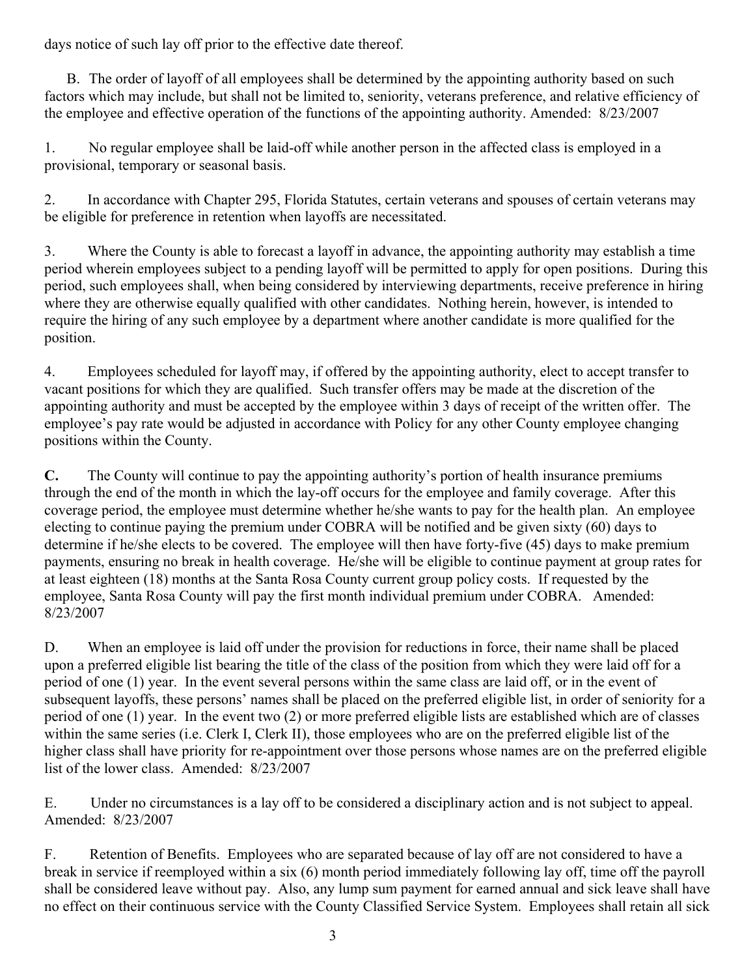days notice of such lay off prior to the effective date thereof.

B. The order of layoff of all employees shall be determined by the appointing authority based on such factors which may include, but shall not be limited to, seniority, veterans preference, and relative efficiency of the employee and effective operation of the functions of the appointing authority. Amended: 8/23/2007

1. No regular employee shall be laid-off while another person in the affected class is employed in a provisional, temporary or seasonal basis.

2. In accordance with Chapter 295, Florida Statutes, certain veterans and spouses of certain veterans may be eligible for preference in retention when layoffs are necessitated.

3. Where the County is able to forecast a layoff in advance, the appointing authority may establish a time period wherein employees subject to a pending layoff will be permitted to apply for open positions. During this period, such employees shall, when being considered by interviewing departments, receive preference in hiring where they are otherwise equally qualified with other candidates. Nothing herein, however, is intended to require the hiring of any such employee by a department where another candidate is more qualified for the position.

4. Employees scheduled for layoff may, if offered by the appointing authority, elect to accept transfer to vacant positions for which they are qualified. Such transfer offers may be made at the discretion of the appointing authority and must be accepted by the employee within 3 days of receipt of the written offer. The employee's pay rate would be adjusted in accordance with Policy for any other County employee changing positions within the County.

**C.** The County will continue to pay the appointing authority's portion of health insurance premiums through the end of the month in which the lay-off occurs for the employee and family coverage. After this coverage period, the employee must determine whether he/she wants to pay for the health plan. An employee electing to continue paying the premium under COBRA will be notified and be given sixty (60) days to determine if he/she elects to be covered. The employee will then have forty-five (45) days to make premium payments, ensuring no break in health coverage. He/she will be eligible to continue payment at group rates for at least eighteen (18) months at the Santa Rosa County current group policy costs. If requested by the employee, Santa Rosa County will pay the first month individual premium under COBRA. Amended: 8/23/2007

D. When an employee is laid off under the provision for reductions in force, their name shall be placed upon a preferred eligible list bearing the title of the class of the position from which they were laid off for a period of one (1) year. In the event several persons within the same class are laid off, or in the event of subsequent layoffs, these persons' names shall be placed on the preferred eligible list, in order of seniority for a period of one (1) year. In the event two (2) or more preferred eligible lists are established which are of classes within the same series (i.e. Clerk I, Clerk II), those employees who are on the preferred eligible list of the higher class shall have priority for re-appointment over those persons whose names are on the preferred eligible list of the lower class. Amended: 8/23/2007

E. Under no circumstances is a lay off to be considered a disciplinary action and is not subject to appeal. Amended: 8/23/2007

F. Retention of Benefits. Employees who are separated because of lay off are not considered to have a break in service if reemployed within a six (6) month period immediately following lay off, time off the payroll shall be considered leave without pay. Also, any lump sum payment for earned annual and sick leave shall have no effect on their continuous service with the County Classified Service System. Employees shall retain all sick